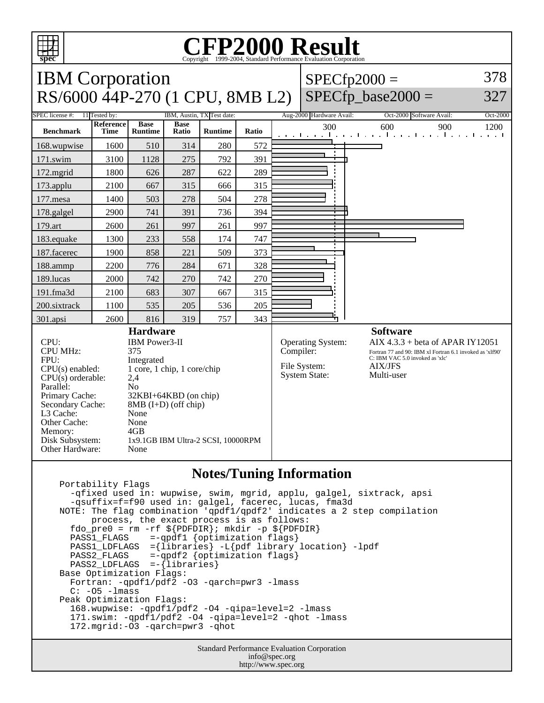

## **Notes/Tuning Information**

 Portability Flags -qfixed used in: wupwise, swim, mgrid, applu, galgel, sixtrack, apsi -qsuffix=f=f90 used in: galgel, facerec, lucas, fma3d NOTE: The flag combination 'qpdf1/qpdf2' indicates a 2 step compilation process, the exact process is as follows: fdo\_pre0 = rm -rf  $\S{PDFDIR}$ ; mkdir -p  $\S{PDFDIR}$  PASS1\_FLAGS =-qpdf1 {optimization flags} PASS1\_LDFLAGS ={libraries} -L{pdf library location} -lpdf<br>PASS2\_FLAGS =-qpdf2 {optimization flags}  $=$ -qpdf2 {optimization flags} PASS2 LDFLAGS =-{libraries} Base Optimization Flags: Fortran: -qpdf1/pdf2 -O3 -qarch=pwr3 -lmass C: -O5 -lmass Peak Optimization Flags: 168.wupwise: -qpdf1/pdf2 -O4 -qipa=level=2 -lmass 171.swim: -qpdf1/pdf2 -O4 -qipa=level=2 -qhot -lmass 172.mgrid:-O3 -qarch=pwr3 -qhot

> Standard Performance Evaluation Corporation info@spec.org http://www.spec.org